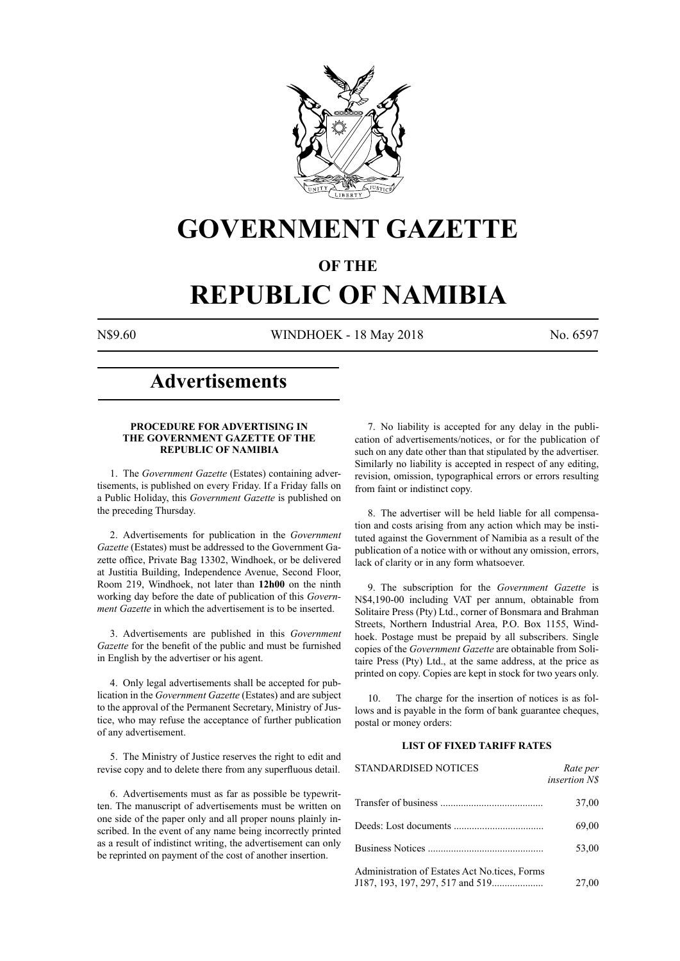

## **GOVERNMENT GAZETTE**

### **OF THE**

# **REPUBLIC OF NAMIBIA**

N\$9.60 WINDHOEK - 18 May 2018 No. 6597

## **Advertisements**

#### **PROCEDURE FOR ADVERTISING IN THE GOVERNMENT GAZETTE OF THE REPUBLIC OF NAMIBIA**

1. The *Government Gazette* (Estates) containing advertisements, is published on every Friday. If a Friday falls on a Public Holiday, this *Government Gazette* is published on the preceding Thursday.

2. Advertisements for publication in the *Government Gazette* (Estates) must be addressed to the Government Gazette office, Private Bag 13302, Windhoek, or be delivered at Justitia Building, Independence Avenue, Second Floor, Room 219, Windhoek, not later than **12h00** on the ninth working day before the date of publication of this *Government Gazette* in which the advertisement is to be inserted.

3. Advertisements are published in this *Government Gazette* for the benefit of the public and must be furnished in English by the advertiser or his agent.

4. Only legal advertisements shall be accepted for publication in the *Government Gazette* (Estates) and are subject to the approval of the Permanent Secretary, Ministry of Justice, who may refuse the acceptance of further publication of any advertisement.

5. The Ministry of Justice reserves the right to edit and revise copy and to delete there from any superfluous detail.

6. Advertisements must as far as possible be typewritten. The manuscript of advertisements must be written on one side of the paper only and all proper nouns plainly inscribed. In the event of any name being incorrectly printed as a result of indistinct writing, the advertisement can only be reprinted on payment of the cost of another insertion.

7. No liability is accepted for any delay in the publication of advertisements/notices, or for the publication of such on any date other than that stipulated by the advertiser. Similarly no liability is accepted in respect of any editing, revision, omission, typographical errors or errors resulting from faint or indistinct copy.

8. The advertiser will be held liable for all compensation and costs arising from any action which may be instituted against the Government of Namibia as a result of the publication of a notice with or without any omission, errors, lack of clarity or in any form whatsoever.

9. The subscription for the *Government Gazette* is N\$4,190-00 including VAT per annum, obtainable from Solitaire Press (Pty) Ltd., corner of Bonsmara and Brahman Streets, Northern Industrial Area, P.O. Box 1155, Windhoek. Postage must be prepaid by all subscribers. Single copies of the *Government Gazette* are obtainable from Solitaire Press (Pty) Ltd., at the same address, at the price as printed on copy. Copies are kept in stock for two years only.

10. The charge for the insertion of notices is as follows and is payable in the form of bank guarantee cheques, postal or money orders:

### **LIST OF FIXED TARIFF RATES**

| <b>STANDARDISED NOTICES</b>                   | Rate per<br><i>insertion NS</i> |
|-----------------------------------------------|---------------------------------|
|                                               | 37,00                           |
|                                               | 69,00                           |
|                                               | 53,00                           |
| Administration of Estates Act No.tices, Forms | 27,00                           |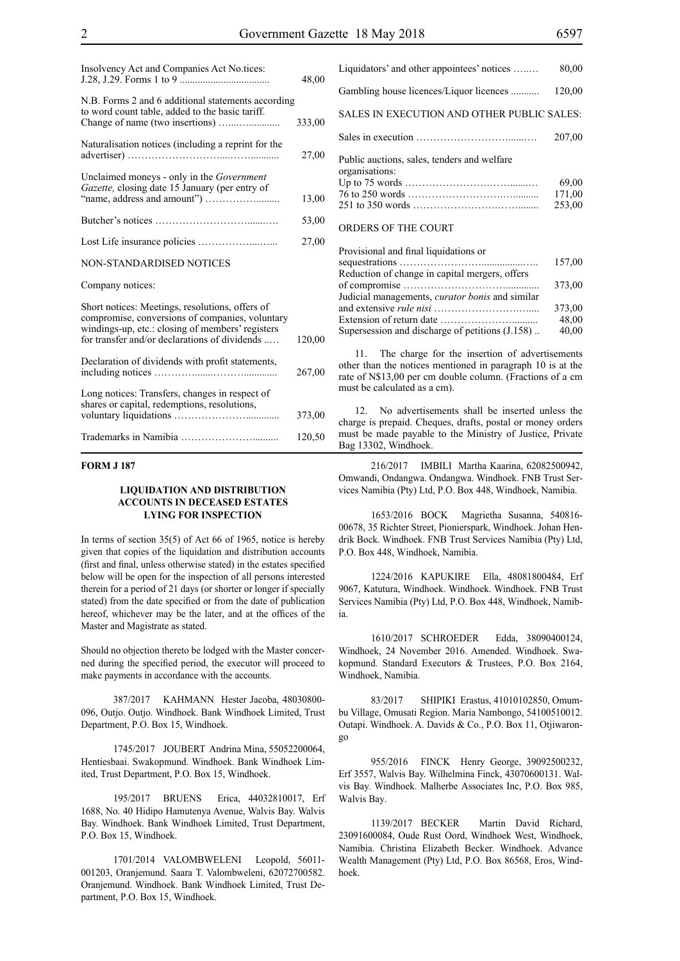| Insolvency Act and Companies Act No.tices:                                                                                                                                                              | 48,00  |
|---------------------------------------------------------------------------------------------------------------------------------------------------------------------------------------------------------|--------|
| N.B. Forms 2 and 6 additional statements according<br>to word count table, added to the basic tariff.                                                                                                   | 333,00 |
| Naturalisation notices (including a reprint for the                                                                                                                                                     | 27,00  |
| Unclaimed moneys - only in the <i>Government</i><br>Gazette, closing date 15 January (per entry of                                                                                                      | 13,00  |
|                                                                                                                                                                                                         | 53,00  |
|                                                                                                                                                                                                         | 27,00  |
| <b>NON-STANDARDISED NOTICES</b>                                                                                                                                                                         |        |
| Company notices:                                                                                                                                                                                        |        |
| Short notices: Meetings, resolutions, offers of<br>compromise, conversions of companies, voluntary<br>windings-up, etc.: closing of members' registers<br>for transfer and/or declarations of dividends | 120,00 |
| Declaration of dividends with profit statements,                                                                                                                                                        | 267,00 |
| Long notices: Transfers, changes in respect of<br>shares or capital, redemptions, resolutions,                                                                                                          | 373,00 |
|                                                                                                                                                                                                         | 120,50 |

#### **FORM J 187**

#### **LIQUIDATION AND DISTRIBUTION ACCOUNTS IN DECEASED ESTATES LYING FOR INSPECTION**

In terms of section 35(5) of Act 66 of 1965, notice is hereby given that copies of the liquidation and distribution accounts (first and final, unless otherwise stated) in the estates specified below will be open for the inspection of all persons interested therein for a period of 21 days (or shorter or longer if specially stated) from the date specified or from the date of publication hereof, whichever may be the later, and at the offices of the Master and Magistrate as stated.

Should no objection thereto be lodged with the Master concerned during the specified period, the executor will proceed to make payments in accordance with the accounts.

387/2017 KAHMANN Hester Jacoba, 48030800- 096, Outjo. Outjo. Windhoek. Bank Windhoek Limited, Trust Department, P.O. Box 15, Windhoek.

1745/2017 JOUBERT Andrina Mina, 55052200064, Hentiesbaai. Swakopmund. Windhoek. Bank Windhoek Limited, Trust Department, P.O. Box 15, Windhoek.

195/2017 BRUENS Erica, 44032810017, Erf 1688, No. 40 Hidipo Hamutenya Avenue, Walvis Bay. Walvis Bay. Windhoek. Bank Windhoek Limited, Trust Department, P.O. Box 15, Windhoek.

1701/2014 VALOMBWELENI Leopold, 56011- 001203, Oranjemund. Saara T. Valombweleni, 62072700582. Oranjemund. Windhoek. Bank Windhoek Limited, Trust Department, P.O. Box 15, Windhoek.

| Liquidators' and other appointees' notices                    | 80,00  |
|---------------------------------------------------------------|--------|
| Gambling house licences/Liquor licences                       | 120,00 |
| SALES IN EXECUTION AND OTHER PUBLIC SALES:                    |        |
|                                                               | 207.00 |
| Public auctions, sales, tenders and welfare<br>organisations: |        |
|                                                               | 69.00  |
|                                                               | 171,00 |
|                                                               | 253,00 |
| ORDERS OF THE COURT                                           |        |

| Provisional and final liquidations or                  |        |
|--------------------------------------------------------|--------|
|                                                        | 157,00 |
| Reduction of change in capital mergers, offers         |        |
|                                                        | 373,00 |
| Judicial managements, <i>curator bonis</i> and similar |        |
|                                                        | 373,00 |
|                                                        | 48,00  |
| Supersession and discharge of petitions (J.158)        | 40,00  |
|                                                        |        |

11. The charge for the insertion of advertisements other than the notices mentioned in paragraph 10 is at the rate of N\$13,00 per cm double column. (Fractions of a cm must be calculated as a cm).

12. No advertisements shall be inserted unless the charge is prepaid. Cheques, drafts, postal or money orders must be made payable to the Ministry of Justice, Private Bag 13302, Windhoek.

216/2017 IMBILI Martha Kaarina, 62082500942, Omwandi, Ondangwa. Ondangwa. Windhoek. FNB Trust Services Namibia (Pty) Ltd, P.O. Box 448, Windhoek, Namibia.

1653/2016 BOCK Magrietha Susanna, 540816- 00678, 35 Richter Street, Pionierspark, Windhoek. Johan Hendrik Bock. Windhoek. FNB Trust Services Namibia (Pty) Ltd, P.O. Box 448, Windhoek, Namibia.

1224/2016 KAPUKIRE Ella, 48081800484, Erf 9067, Katutura, Windhoek. Windhoek. Windhoek. FNB Trust Services Namibia (Pty) Ltd, P.O. Box 448, Windhoek, Namibia.

1610/2017 SCHROEDER Edda, 38090400124, Windhoek, 24 November 2016. Amended. Windhoek. Swakopmund. Standard Executors & Trustees, P.O. Box 2164, Windhoek, Namibia.

83/2017 SHIPIKI Erastus, 41010102850, Omumbu Village, Omusati Region. Maria Nambongo, 54100510012. Outapi. Windhoek. A. Davids & Co., P.O. Box 11, Otjiwarongo

955/2016 FINCK Henry George, 39092500232, Erf 3557, Walvis Bay. Wilhelmina Finck, 43070600131. Walvis Bay. Windhoek. Malherbe Associates Inc, P.O. Box 985, Walvis Bay.

1139/2017 BECKER Martin David Richard, 23091600084, Oude Rust Oord, Windhoek West, Windhoek, Namibia. Christina Elizabeth Becker. Windhoek. Advance Wealth Management (Pty) Ltd, P.O. Box 86568, Eros, Windhoek.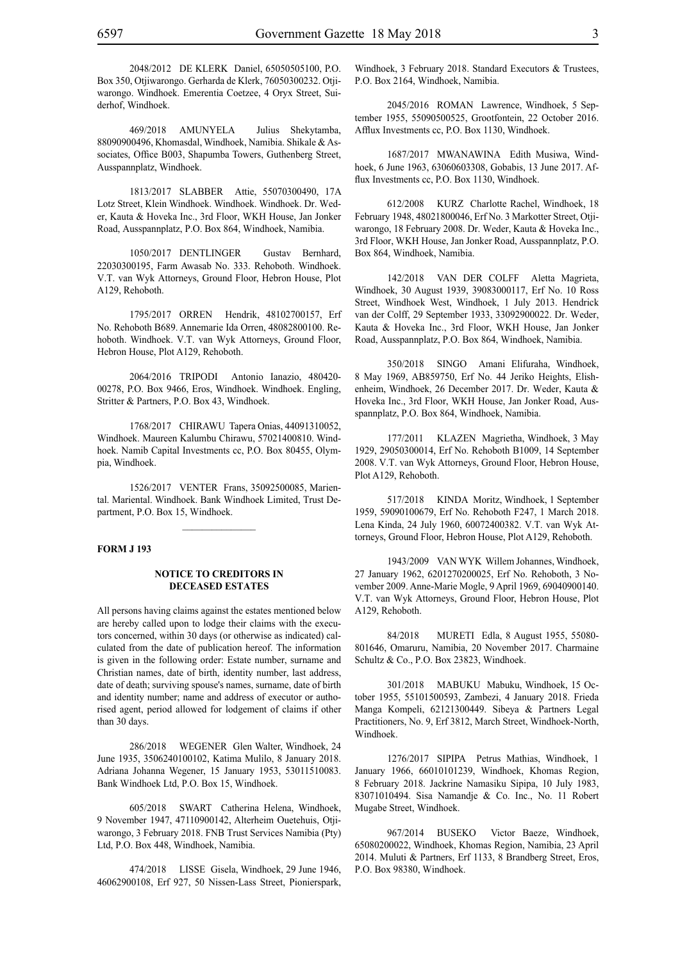2048/2012 DE KLERK Daniel, 65050505100, P.O. Box 350, Otjiwarongo. Gerharda de Klerk, 76050300232. Otjiwarongo. Windhoek. Emerentia Coetzee, 4 Oryx Street, Suiderhof, Windhoek.

469/2018 AMUNYELA Julius Shekytamba, 88090900496, Khomasdal, Windhoek, Namibia. Shikale & Associates, Office B003, Shapumba Towers, Guthenberg Street, Ausspannplatz, Windhoek.

1813/2017 SLABBER Attie, 55070300490, 17A Lotz Street, Klein Windhoek. Windhoek. Windhoek. Dr. Weder, Kauta & Hoveka Inc., 3rd Floor, WKH House, Jan Jonker Road, Ausspannplatz, P.O. Box 864, Windhoek, Namibia.

1050/2017 DENTLINGER Gustav Bernhard, 22030300195, Farm Awasab No. 333. Rehoboth. Windhoek. V.T. van Wyk Attorneys, Ground Floor, Hebron House, Plot A129, Rehoboth.

1795/2017 ORREN Hendrik, 48102700157, Erf No. Rehoboth B689. Annemarie Ida Orren, 48082800100. Rehoboth. Windhoek. V.T. van Wyk Attorneys, Ground Floor, Hebron House, Plot A129, Rehoboth.

2064/2016 TRIPODI Antonio Ianazio, 480420- 00278, P.O. Box 9466, Eros, Windhoek. Windhoek. Engling, Stritter & Partners, P.O. Box 43, Windhoek.

1768/2017 CHIRAWU Tapera Onias, 44091310052, Windhoek. Maureen Kalumbu Chirawu, 57021400810. Windhoek. Namib Capital Investments cc, P.O. Box 80455, Olympia, Windhoek.

1526/2017 VENTER Frans, 35092500085, Mariental. Mariental. Windhoek. Bank Windhoek Limited, Trust Department, P.O. Box 15, Windhoek.

 $\frac{1}{2}$ 

#### **FORM J 193**

#### **NOTICE TO CREDITORS IN DECEASED ESTATES**

All persons having claims against the estates mentioned below are hereby called upon to lodge their claims with the executors concerned, within 30 days (or otherwise as indicated) calculated from the date of publication hereof. The information is given in the following order: Estate number, surname and Christian names, date of birth, identity number, last address, date of death; surviving spouse's names, surname, date of birth and identity number; name and address of executor or authorised agent, period allowed for lodgement of claims if other than 30 days.

286/2018 WEGENER Glen Walter, Windhoek, 24 June 1935, 3506240100102, Katima Mulilo, 8 January 2018. Adriana Johanna Wegener, 15 January 1953, 53011510083. Bank Windhoek Ltd, P.O. Box 15, Windhoek.

605/2018 SWART Catherina Helena, Windhoek, 9 November 1947, 47110900142, Alterheim Ouetehuis, Otjiwarongo, 3 February 2018. FNB Trust Services Namibia (Pty) Ltd, P.O. Box 448, Windhoek, Namibia.

474/2018 LISSE Gisela, Windhoek, 29 June 1946, 46062900108, Erf 927, 50 Nissen-Lass Street, Pionierspark,

Windhoek, 3 February 2018. Standard Executors & Trustees, P.O. Box 2164, Windhoek, Namibia.

2045/2016 ROMAN Lawrence, Windhoek, 5 September 1955, 55090500525, Grootfontein, 22 October 2016. Afflux Investments cc, P.O. Box 1130, Windhoek.

1687/2017 MWANAWINA Edith Musiwa, Windhoek, 6 June 1963, 63060603308, Gobabis, 13 June 2017. Afflux Investments cc, P.O. Box 1130, Windhoek.

612/2008 KURZ Charlotte Rachel, Windhoek, 18 February 1948, 48021800046, Erf No. 3 Markotter Street, Otjiwarongo, 18 February 2008. Dr. Weder, Kauta & Hoveka Inc., 3rd Floor, WKH House, Jan Jonker Road, Ausspannplatz, P.O. Box 864, Windhoek, Namibia.

142/2018 VAN DER COLFF Aletta Magrieta, Windhoek, 30 August 1939, 39083000117, Erf No. 10 Ross Street, Windhoek West, Windhoek, 1 July 2013. Hendrick van der Colff, 29 September 1933, 33092900022. Dr. Weder, Kauta & Hoveka Inc., 3rd Floor, WKH House, Jan Jonker Road, Ausspannplatz, P.O. Box 864, Windhoek, Namibia.

350/2018 SINGO Amani Elifuraha, Windhoek, 8 May 1969, AB859750, Erf No. 44 Jeriko Heights, Elishenheim, Windhoek, 26 December 2017. Dr. Weder, Kauta & Hoveka Inc., 3rd Floor, WKH House, Jan Jonker Road, Ausspannplatz, P.O. Box 864, Windhoek, Namibia.

177/2011 KLAZEN Magrietha, Windhoek, 3 May 1929, 29050300014, Erf No. Rehoboth B1009, 14 September 2008. V.T. van Wyk Attorneys, Ground Floor, Hebron House, Plot A129, Rehoboth.

517/2018 KINDA Moritz, Windhoek, 1 September 1959, 59090100679, Erf No. Rehoboth F247, 1 March 2018. Lena Kinda, 24 July 1960, 60072400382. V.T. van Wyk Attorneys, Ground Floor, Hebron House, Plot A129, Rehoboth.

1943/2009 VAN WYK Willem Johannes, Windhoek, 27 January 1962, 6201270200025, Erf No. Rehoboth, 3 November 2009. Anne-Marie Mogle, 9 April 1969, 69040900140. V.T. van Wyk Attorneys, Ground Floor, Hebron House, Plot A129, Rehoboth.

84/2018 MURETI Edla, 8 August 1955, 55080- 801646, Omaruru, Namibia, 20 November 2017. Charmaine Schultz & Co., P.O. Box 23823, Windhoek.

301/2018 MABUKU Mabuku, Windhoek, 15 October 1955, 55101500593, Zambezi, 4 January 2018. Frieda Manga Kompeli, 62121300449. Sibeya & Partners Legal Practitioners, No. 9, Erf 3812, March Street, Windhoek-North, Windhoek.

1276/2017 SIPIPA Petrus Mathias, Windhoek, 1 January 1966, 66010101239, Windhoek, Khomas Region, 8 February 2018. Jackrine Namasiku Sipipa, 10 July 1983, 83071010494. Sisa Namandje & Co. Inc., No. 11 Robert Mugabe Street, Windhoek.

967/2014 BUSEKO Victor Baeze, Windhoek, 65080200022, Windhoek, Khomas Region, Namibia, 23 April 2014. Muluti & Partners, Erf 1133, 8 Brandberg Street, Eros, P.O. Box 98380, Windhoek.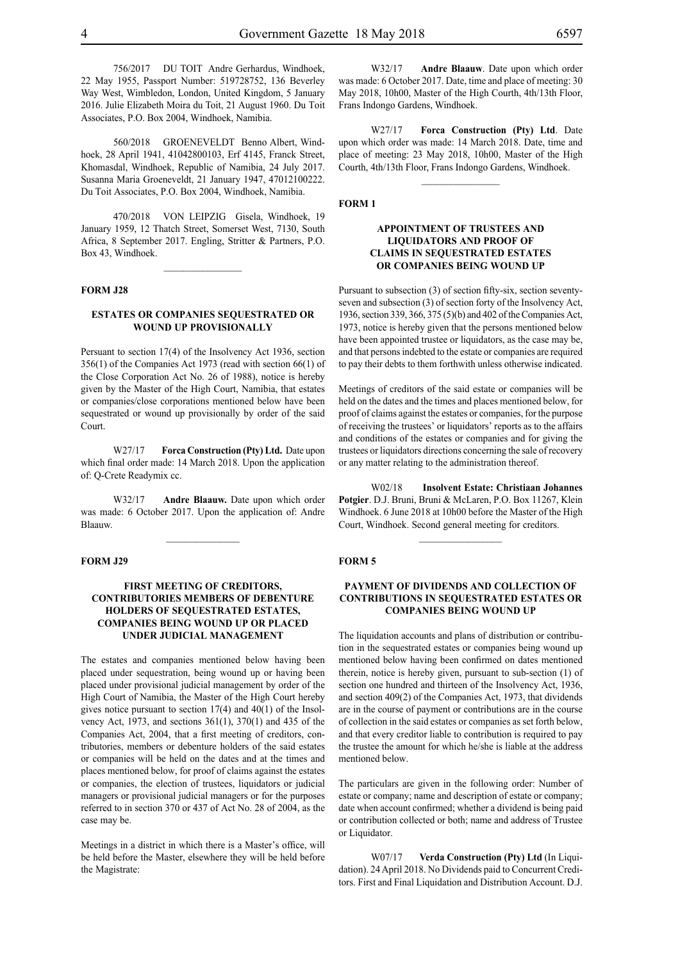756/2017 DU TOIT Andre Gerhardus, Windhoek, 22 May 1955, Passport Number: 519728752, 136 Beverley Way West, Wimbledon, London, United Kingdom, 5 January 2016. Julie Elizabeth Moira du Toit, 21 August 1960. Du Toit Associates, P.O. Box 2004, Windhoek, Namibia.

560/2018 GROENEVELDT Benno Albert, Windhoek, 28 April 1941, 41042800103, Erf 4145, Franck Street, Khomasdal, Windhoek, Republic of Namibia, 24 July 2017. Susanna Maria Groeneveldt, 21 January 1947, 47012100222. Du Toit Associates, P.O. Box 2004, Windhoek, Namibia.

470/2018 VON LEIPZIG Gisela, Windhoek, 19 January 1959, 12 Thatch Street, Somerset West, 7130, South Africa, 8 September 2017. Engling, Stritter & Partners, P.O. Box 43, Windhoek.

 $\frac{1}{2}$ 

#### **FORM J28**

#### **ESTATES OR COMPANIES SEQUESTRATED OR WOUND UP PROVISIONALLY**

Persuant to section 17(4) of the Insolvency Act 1936, section 356(1) of the Companies Act 1973 (read with section 66(1) of the Close Corporation Act No. 26 of 1988), notice is hereby given by the Master of the High Court, Namibia, that estates or companies/close corporations mentioned below have been sequestrated or wound up provisionally by order of the said Court.

W27/17 **Forca Construction (Pty) Ltd.** Date upon which final order made: 14 March 2018. Upon the application of: Q-Crete Readymix cc.

W32/17 **Andre Blaauw.** Date upon which order was made: 6 October 2017. Upon the application of: Andre Blaauw.

 $\mathcal{L}=\mathcal{L}^{\mathcal{L}}$ 

#### **FORM J29**

#### **FIRST MEETING OF CREDITORS, CONTRIBUTORIES MEMBERS OF DEBENTURE HOLDERS OF SEQUESTRATED ESTATES, COMPANIES BEING WOUND UP OR PLACED UNDER JUDICIAL MANAGEMENT**

The estates and companies mentioned below having been placed under sequestration, being wound up or having been placed under provisional judicial management by order of the High Court of Namibia, the Master of the High Court hereby gives notice pursuant to section 17(4) and 40(1) of the Insolvency Act, 1973, and sections 361(1), 370(1) and 435 of the Companies Act, 2004, that a first meeting of creditors, contributories, members or debenture holders of the said estates or companies will be held on the dates and at the times and places mentioned below, for proof of claims against the estates or companies, the election of trustees, liquidators or judicial managers or provisional judicial managers or for the purposes referred to in section 370 or 437 of Act No. 28 of 2004, as the case may be.

Meetings in a district in which there is a Master's office, will be held before the Master, elsewhere they will be held before the Magistrate:

W32/17 **Andre Blaauw**. Date upon which order was made: 6 October 2017. Date, time and place of meeting: 30 May 2018, 10h00, Master of the High Courth, 4th/13th Floor, Frans Indongo Gardens, Windhoek.

W27/17 **Forca Construction (Pty) Ltd**. Date upon which order was made: 14 March 2018. Date, time and place of meeting: 23 May 2018, 10h00, Master of the High Courth, 4th/13th Floor, Frans Indongo Gardens, Windhoek.

#### **FORM 1**

#### **APPOINTMENT OF TRUSTEES AND LIQUIDATORS AND PROOF OF CLAIMS IN SEQUESTRATED ESTATES OR COMPANIES BEING WOUND UP**

Pursuant to subsection (3) of section fifty-six, section seventyseven and subsection (3) of section forty of the Insolvency Act, 1936, section 339, 366, 375 (5)(b) and 402 of the Companies Act, 1973, notice is hereby given that the persons mentioned below have been appointed trustee or liquidators, as the case may be, and that persons indebted to the estate or companies are required to pay their debts to them forthwith unless otherwise indicated.

Meetings of creditors of the said estate or companies will be held on the dates and the times and places mentioned below, for proof of claims against the estates or companies, for the purpose of receiving the trustees' or liquidators' reports as to the affairs and conditions of the estates or companies and for giving the trustees or liquidators directions concerning the sale of recovery or any matter relating to the administration thereof.

W02/18 **Insolvent Estate: Christiaan Johannes Potgier**. D.J. Bruni, Bruni & McLaren, P.O. Box 11267, Klein Windhoek. 6 June 2018 at 10h00 before the Master of the High Court, Windhoek. Second general meeting for creditors.

 $\frac{1}{2}$ 

#### **FORM 5**

#### **PAYMENT OF DIVIDENDS AND COLLECTION OF CONTRIBUTIONS IN SEQUESTRATED ESTATES OR COMPANIES BEING WOUND UP**

The liquidation accounts and plans of distribution or contribution in the sequestrated estates or companies being wound up mentioned below having been confirmed on dates mentioned therein, notice is hereby given, pursuant to sub-section (1) of section one hundred and thirteen of the Insolvency Act, 1936, and section 409(2) of the Companies Act, 1973, that dividends are in the course of payment or contributions are in the course of collection in the said estates or companies as set forth below, and that every creditor liable to contribution is required to pay the trustee the amount for which he/she is liable at the address mentioned below.

The particulars are given in the following order: Number of estate or company; name and description of estate or company; date when account confirmed; whether a dividend is being paid or contribution collected or both; name and address of Trustee or Liquidator.

W07/17 **Verda Construction (Pty) Ltd** (In Liquidation). 24 April 2018. No Dividends paid to Concurrent Creditors. First and Final Liquidation and Distribution Account. D.J.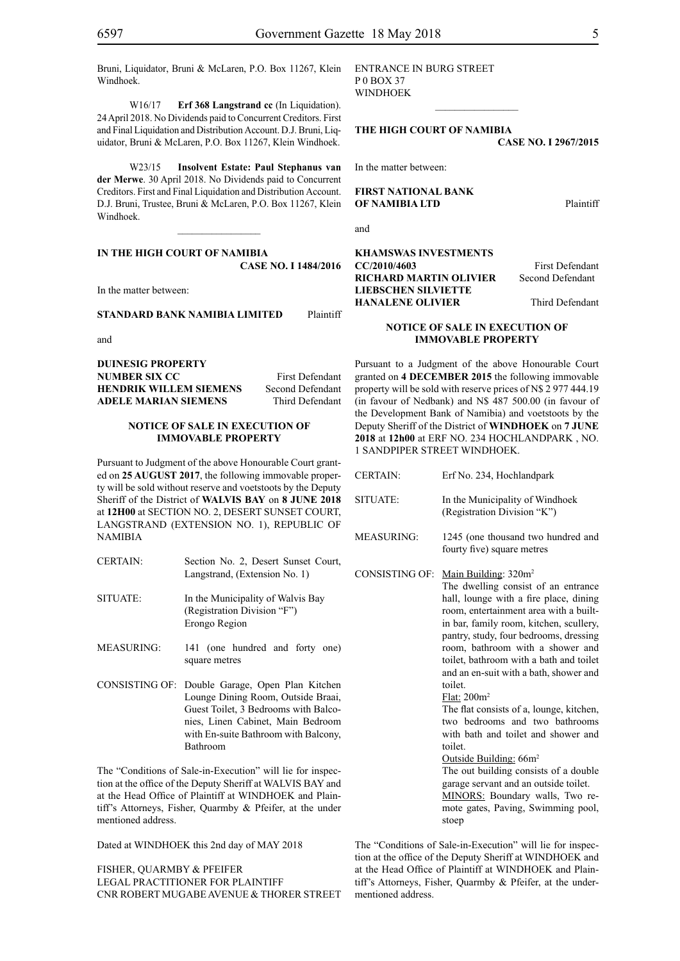Bruni, Liquidator, Bruni & McLaren, P.O. Box 11267, Klein Windhoek.

W16/17 **Erf 368 Langstrand cc** (In Liquidation). 24 April 2018. No Dividends paid to Concurrent Creditors. First and Final Liquidation and Distribution Account. D.J. Bruni, Liquidator, Bruni & McLaren, P.O. Box 11267, Klein Windhoek.

W23/15 **Insolvent Estate: Paul Stephanus van der Merwe**. 30 April 2018. No Dividends paid to Concurrent Creditors. First and Final Liquidation and Distribution Account. D.J. Bruni, Trustee, Bruni & McLaren, P.O. Box 11267, Klein Windhoek.

 $\overline{\phantom{a}}$  , where  $\overline{\phantom{a}}$ 

#### **IN THE HIGH COURT OF NAMIBIA CASE No. I 1484/2016**

In the matter between:

**STANDARD BANK NAMIBIA LIMITED** Plaintiff

and

**DUINESIG PROPERTY NUMBER SIX CC** First Defendant **HENDRIK WILLEM SIEMENS** Second Defendant **ADELE MARIAN SIEMENS** Third Defendant

#### **NOTICE OF SALE IN EXECUTION OF IMMOVABLE PROPERTY**

Pursuant to Judgment of the above Honourable Court granted on **25 AUGUST 2017**, the following immovable property will be sold without reserve and voetstoots by the Deputy Sheriff of the District of **WALVIS BAY** on **8 JUNE 2018** at **12H00** at SECTION NO. 2, DESERT SUNSET COURT, LANGSTRAND (EXTENSION NO. 1), REPUBLIC OF NAMIBIA

- CERTAIN: Section No. 2, Desert Sunset Court, Langstrand, (Extension No. 1)
- SITUATE: In the Municipality of Walvis Bay (Registration Division "F") Erongo Region
- MEASURING: 141 (one hundred and forty one) square metres
- CONSISTING OF: Double Garage, Open Plan Kitchen Lounge Dining Room, Outside Braai, Guest Toilet, 3 Bedrooms with Balconies, Linen Cabinet, Main Bedroom with En-suite Bathroom with Balcony, Bathroom

The "Conditions of Sale-in-Execution" will lie for inspection at the office of the Deputy Sheriff at WALVIS BAY and at the Head Office of Plaintiff at WINDHOEK and Plaintiff's Attorneys, Fisher, Quarmby & Pfeifer, at the under mentioned address.

Dated at WINDHOEK this 2nd day of MAY 2018

FISHER, QUARMBY & PFEIFER LEGAL PRACTITIONER FOR Plaintiff Cnr Robert Mugabe Avenue & Thorer Street Entrance in Burg Street P 0 Box 37 WINDHOEK

**THE HIGH COURT OF NAMIBIA CASE No. I 2967/2015**

 $\frac{1}{2}$ 

In the matter between:

**FIRST NATIONAL BANK OF NAMIBIA LTD** Plaintiff

and

#### **KHAMSWAS INVESTMENTS CC/2010/4603** First Defendant **RICHARD MARTIN OLIVIER** Second Defendant **LIEBSCHEN SILVIETTE HANALENE OLIVIER** Third Defendant

#### **NOTICE OF SALE IN EXECUTION OF IMMOVABLE PROPERTY**

Pursuant to a Judgment of the above Honourable Court granted on **4 DECEMBER 2015** the following immovable property will be sold with reserve prices of N\$ 2 977 444.19 (in favour of Nedbank) and N\$ 487 500.00 (in favour of the Development Bank of Namibia) and voetstoots by the Deputy Sheriff of the District of **WINDHOEK** on **7 JUNE 2018** at **12h00** at ERF NO. 234 HOCHLANDPARK , NO. 1 SANDPIPER STREET WINDHOEK.

| <b>CERTAIN:</b>   | Erf No. 234, Hochlandpark                                                                                                                                                                                                                                                                                                                                                                                                                                                                                                                                                                                                                                                                                                                                 |
|-------------------|-----------------------------------------------------------------------------------------------------------------------------------------------------------------------------------------------------------------------------------------------------------------------------------------------------------------------------------------------------------------------------------------------------------------------------------------------------------------------------------------------------------------------------------------------------------------------------------------------------------------------------------------------------------------------------------------------------------------------------------------------------------|
| SITUATE:          | In the Municipality of Windhoek<br>(Registration Division "K")                                                                                                                                                                                                                                                                                                                                                                                                                                                                                                                                                                                                                                                                                            |
| <b>MEASURING:</b> | 1245 (one thousand two hundred and<br>fourty five) square metres                                                                                                                                                                                                                                                                                                                                                                                                                                                                                                                                                                                                                                                                                          |
| CONSISTING OF:    | Main Building: 320m <sup>2</sup><br>The dwelling consist of an entrance<br>hall, lounge with a fire place, dining<br>room, entertainment area with a built-<br>in bar, family room, kitchen, scullery,<br>pantry, study, four bedrooms, dressing<br>room, bathroom with a shower and<br>toilet, bathroom with a bath and toilet<br>and an en-suit with a bath, shower and<br>toilet.<br>Flat: 200m <sup>2</sup><br>The flat consists of a, lounge, kitchen,<br>two bedrooms and two bathrooms<br>with bath and toilet and shower and<br>toilet.<br>Outside Building: 66m <sup>2</sup><br>The out building consists of a double<br>garage servant and an outside toilet.<br>MINORS: Boundary walls, Two re-<br>mote gates, Paving, Swimming pool,<br>stoep |

The "Conditions of Sale-in-Execution" will lie for inspection at the office of the Deputy Sheriff at WINDHOEK and at the Head Office of Plaintiff at WINDHOEK and Plaintiff's Attorneys, Fisher, Quarmby & Pfeifer, at the undermentioned address.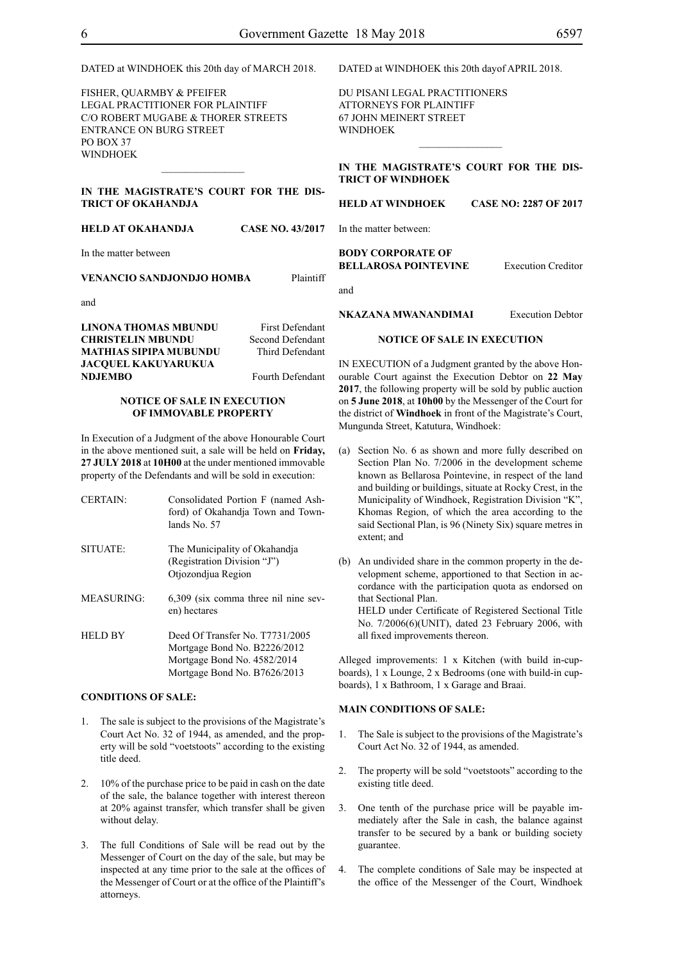DATED at WINDHOEK this 20th day of MARCH 2018.

FISHER, QUARMBY & PFEIFER LEGAL PRACTITIONER FOR Plaintiff c/o Robert Mugabe & Thorer Streets entrance on Burg Street PO BOX 37 WINDHOEK

#### **IN THE MAGISTRATE'S COURT FOR THE DIS-TRICT OF OKAHANDJA**

 $\frac{1}{2}$ 

**HELD AT OKAHANDJA CASE NO. 43/2017**

In the matter between

#### **VENANCIO SANDJONDJO HOMBA** Plaintiff

and

**LINONA THOMAS MBUNDU** First Defendant **CHRISTELIN MBUNDU** Second Defendant **MATHIAS SIPIPA MUBUNDU** Third Defendant **JACQUEL KAKUYARUKUA NDJEMBO** Fourth Defendant

#### **NOTICE OF SALE IN EXECUTION OF IMMOVABLE PROPERTY**

In Execution of a Judgment of the above Honourable Court in the above mentioned suit, a sale will be held on **Friday, 27 JULY 2018** at **10H00** at the under mentioned immovable property of the Defendants and will be sold in execution:

CERTAIN: Consolidated Portion F (named Ashford) of Okahandja Town and Townlands No. 57 SITUATE: The Municipality of Okahandja (Registration Division "J") Otjozondjua Region MEASURING: 6,309 (six comma three nil nine seven) hectares HELD BY Deed Of Transfer No. T7731/2005 Mortgage Bond No. B2226/2012 Mortgage Bond No. 4582/2014 Mortgage Bond No. B7626/2013

#### **CONDITIONS OF SALE:**

- 1. The sale is subject to the provisions of the Magistrate's Court Act No. 32 of 1944, as amended, and the property will be sold "voetstoots" according to the existing title deed.
- 2. 10% of the purchase price to be paid in cash on the date of the sale, the balance together with interest thereon at 20% against transfer, which transfer shall be given without delay.
- 3. The full Conditions of Sale will be read out by the Messenger of Court on the day of the sale, but may be inspected at any time prior to the sale at the offices of the Messenger of Court or at the office of the Plaintiff's attorneys.

DATED at WINDHOEK this 20th dayof APRIL 2018.

Du Pisani Legal Practitioners Attorneys for Plaintiff 67 John Meinert Street **WINDHOEK** 

**IN THE MAGISTRATE'S COURT FOR THE DIS-TRICT OF WINDHOEK**

 $\frac{1}{2}$ 

#### **HELD AT WINDHOEK CASE NO: 2287 OF 2017**

In the matter between:

#### **BODY CORPORATE OF BELLAROSA POINTEVINE** Execution Creditor

and

**NKAZANA MWANANDIMAI** Execution Debtor

#### **NOTICE OF SALE IN EXECUTION**

IN EXECUTION of a Judgment granted by the above Honourable Court against the Execution Debtor on **22 May 2017**, the following property will be sold by public auction on **5 June 2018**, at **10h00** by the Messenger of the Court for the district of **Windhoek** in front of the Magistrate's Court, Mungunda Street, Katutura, Windhoek:

- (a) Section No. 6 as shown and more fully described on Section Plan No. 7/2006 in the development scheme known as Bellarosa Pointevine, in respect of the land and building or buildings, situate at Rocky Crest, in the Municipality of Windhoek, Registration Division "K", Khomas Region, of which the area according to the said Sectional Plan, is 96 (Ninety Six) square metres in extent; and
- (b) An undivided share in the common property in the development scheme, apportioned to that Section in accordance with the participation quota as endorsed on that Sectional Plan. HELD under Certificate of Registered Sectional Title

No. 7/2006(6)(UNIT), dated 23 February 2006, with all fixed improvements thereon.

Alleged improvements: 1 x Kitchen (with build in-cupboards), 1 x Lounge, 2 x Bedrooms (one with build-in cupboards), 1 x Bathroom, 1 x Garage and Braai.

### **MAIN CONDITIONS OF SALE:**

- 1. The Sale is subject to the provisions of the Magistrate's Court Act No. 32 of 1944, as amended.
- 2. The property will be sold "voetstoots" according to the existing title deed.
- 3. One tenth of the purchase price will be payable immediately after the Sale in cash, the balance against transfer to be secured by a bank or building society guarantee.
- 4. The complete conditions of Sale may be inspected at the office of the Messenger of the Court, Windhoek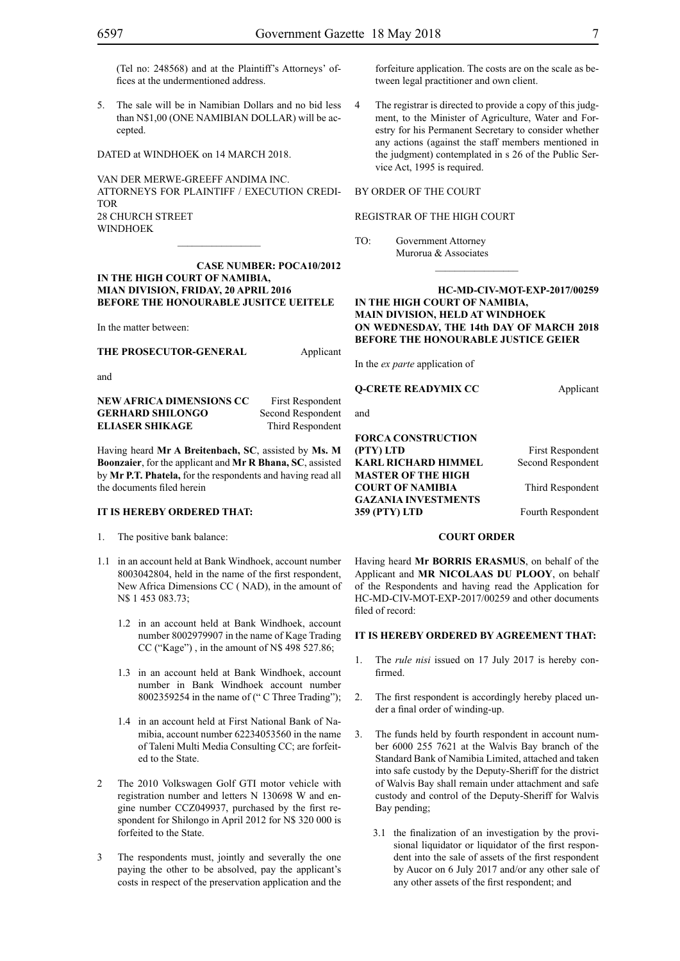(Tel no: 248568) and at the Plaintiff's Attorneys' offices at the undermentioned address.

5. The sale will be in Namibian Dollars and no bid less than N\$1,00 (ONE NAMIBIAN DOLLAR) will be accepted.

DATED at WINDHOEK on 14 MARCH 2018.

VAN DER MERWE-GREEFF ANDIMA INC. ATTORNEYS FOR Plaintiff / Execution Credi-**TOR** 28 CHURCH STREET WINDHOEK

**Case number: POCA10/2012 IN THE HIGH COURT OF NAMIBIA, MIAN DIVISION, FRIDAY, 20 APRIL 2016 BEFORE THE HONOURABLE JUSITCE UEITELE**

In the matter between:

**THE PROSECUTOR-GENERAL** Applicant

and

**NEW AFRICA DIMENSIONS CC** First Respondent **GERHARD SHILONGO** Second Respondent **ELIASER SHIKAGE** Third Respondent

Having heard **Mr A Breitenbach, SC**, assisted by **Ms. M Boonzaier**, for the applicant and **Mr R Bhana, SC**, assisted by **Mr P.T. Phatela,** for the respondents and having read all the documents filed herein

#### **IT IS HEREBY ORDERED THAT:**

1. The positive bank balance:

- 1.1 in an account held at Bank Windhoek, account number 8003042804, held in the name of the first respondent, New Africa Dimensions CC ( NAD), in the amount of N\$ 1 453 083.73;
	- 1.2 in an account held at Bank Windhoek, account number 8002979907 in the name of Kage Trading CC ("Kage") , in the amount of N\$ 498 527.86;
	- 1.3 in an account held at Bank Windhoek, account number in Bank Windhoek account number 8002359254 in the name of (" C Three Trading");
	- 1.4 in an account held at First National Bank of Namibia, account number 62234053560 in the name of Taleni Multi Media Consulting CC; are forfeited to the State.
- 2 The 2010 Volkswagen Golf GTI motor vehicle with registration number and letters N 130698 W and engine number CCZ049937, purchased by the first respondent for Shilongo in April 2012 for N\$ 320 000 is forfeited to the State.
- 3 The respondents must, jointly and severally the one paying the other to be absolved, pay the applicant's costs in respect of the preservation application and the

forfeiture application. The costs are on the scale as between legal practitioner and own client.

4 The registrar is directed to provide a copy of this judgment, to the Minister of Agriculture, Water and Forestry for his Permanent Secretary to consider whether any actions (against the staff members mentioned in the judgment) contemplated in s 26 of the Public Service Act, 1995 is required.

#### BY ORDER OF THE COURT

#### REGISTRAR OF THE HIGH COURT

TO: Government Attorney Murorua & Associates

#### **HC-MD-CIV-MOT-EXP-2017/00259 IN THE HIGH COURT OF NAMIBIA, MAIN DIVISION, HELD AT WINDHOEK ON WEDNESDAY, THE 14th DAY OF MARCH 2018 BEFORE THE HONOURABLE JUSTICE GEIER**

 $\frac{1}{2}$ 

In the *ex parte* application of

**Q-CRETE READYMIX CC** Applicant

and

**FORCA CONSTRUCTION (PTY) LTD** First Respondent **KARL RICHARD HIMMEL** Second Respondent **MASTER OF THE HIGH COURT OF NAMIBIA** Third Respondent **GAZANIA INVESTMENTS 359 (PTY) LTD** Fourth Respondent

#### **COURT ORDER**

Having heard **Mr BORRIS ERASMUS**, on behalf of the Applicant and **MR NICOLAAS DU PLOOY**, on behalf of the Respondents and having read the Application for HC-MD-CIV-MOT-EXP-2017/00259 and other documents filed of record:

#### **IT IS HEREBY ORDERED BY AGREEMENT THAT:**

- 1. The *rule nisi* issued on 17 July 2017 is hereby confirmed.
- 2. The first respondent is accordingly hereby placed under a final order of winding-up.
- 3. The funds held by fourth respondent in account number 6000 255 7621 at the Walvis Bay branch of the Standard Bank of Namibia Limited, attached and taken into safe custody by the Deputy-Sheriff for the district of Walvis Bay shall remain under attachment and safe custody and control of the Deputy-Sheriff for Walvis Bay pending;
	- 3.1 the finalization of an investigation by the provisional liquidator or liquidator of the first respondent into the sale of assets of the first respondent by Aucor on 6 July 2017 and/or any other sale of any other assets of the first respondent; and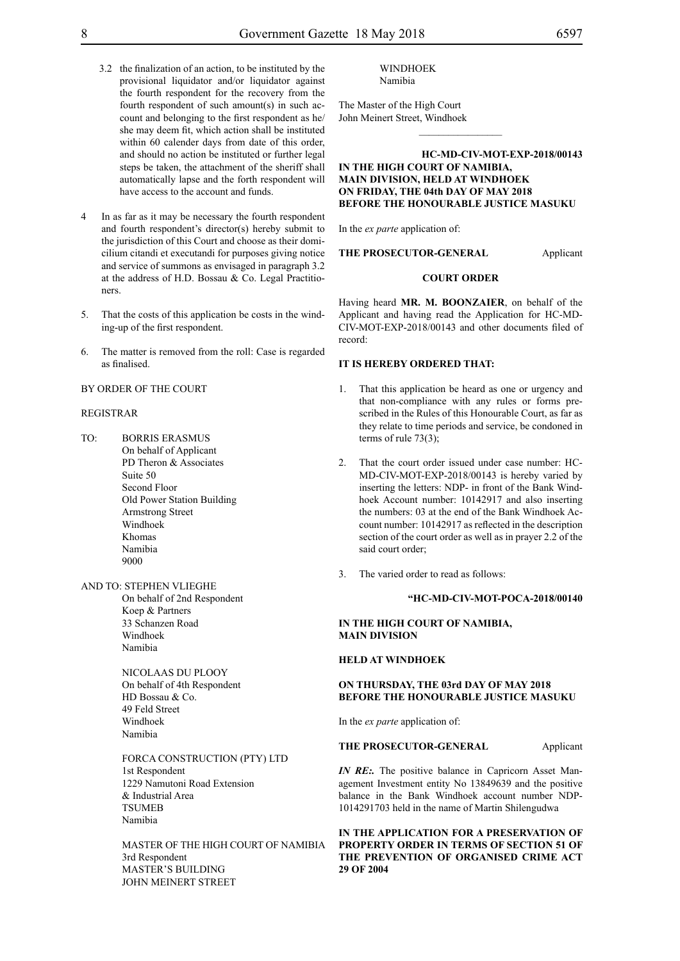- 3.2 the finalization of an action, to be instituted by the provisional liquidator and/or liquidator against the fourth respondent for the recovery from the fourth respondent of such amount(s) in such account and belonging to the first respondent as he/ she may deem fit, which action shall be instituted within 60 calender days from date of this order, and should no action be instituted or further legal steps be taken, the attachment of the sheriff shall automatically lapse and the forth respondent will have access to the account and funds.
- In as far as it may be necessary the fourth respondent and fourth respondent's director(s) hereby submit to the jurisdiction of this Court and choose as their domicilium citandi et executandi for purposes giving notice and service of summons as envisaged in paragraph 3.2 at the address of H.D. Bossau & Co. Legal Practitioners.
- 5. That the costs of this application be costs in the winding-up of the first respondent.
- 6. The matter is removed from the roll: Case is regarded as finalised.

#### BY ORDER OF THE COURT

#### REGISTRAR

- TO: BORRIS ERASMUS On behalf of Applicant PD Theron & Associates Suite 50 Second Floor Old Power Station Building Armstrong Street Windhoek Khomas Namibia 9000
- AND TO: STEPHEN VLIEGHE

On behalf of 2nd Respondent Koep & Partners 33 Schanzen Road Windhoek Namibia

NICOLAAS DU PLOOY On behalf of 4th Respondent HD Bossau & Co. 49 Feld Street Windhoek Namibia

FORCA CONSTRUCTION (PTY) LTD 1st Respondent 1229 Namutoni Road Extension & Industrial Area **TSUMEB** Namibia

MASTER OF THE HIGH COURT OF NAMIBIA 3rd Respondent MASTER'S BUILDING JOHN MEINERT STREET

#### WINDHOEK Namibia

The Master of the High Court John Meinert Street, Windhoek

#### **HC-MD-CIV-MOT-EXP-2018/00143 IN THE HIGH COURT OF NAMIBIA, MAIN DIVISION, HELD AT WINDHOEK ON FRIDAY, THE 04th DAY OF MAY 2018 BEFORE THE HONOURABLE JUSTICE MASUKU**

 $\frac{1}{2}$ 

In the *ex parte* application of:

#### **THE PROSECUTOR-GENERAL** Applicant

#### **COURT ORDER**

Having heard **MR. M. BOONZAIER**, on behalf of the Applicant and having read the Application for HC-MD-CIV-MOT-EXP-2018/00143 and other documents filed of record:

#### **IT IS HEREBY ORDERED THAT:**

- 1. That this application be heard as one or urgency and that non-compliance with any rules or forms prescribed in the Rules of this Honourable Court, as far as they relate to time periods and service, be condoned in terms of rule 73(3);
- 2. That the court order issued under case number: HC-MD-CIV-MOT-EXP-2018/00143 is hereby varied by inserting the letters: NDP- in front of the Bank Windhoek Account number: 10142917 and also inserting the numbers: 03 at the end of the Bank Windhoek Account number: 10142917 as reflected in the description section of the court order as well as in prayer 2.2 of the said court order:
- 3. The varied order to read as follows:

#### **"HC-MD-CIV-MOT-POCA-2018/00140**

#### **IN THE HIGH COURT OF NAMIBIA, MAIN DIVISION**

#### **HELD AT WINDHOEK**

#### **ON THURSDAY, THE 03rd DAY OF MAY 2018 BEFORE THE HONOURABLE JUSTICE MASUKU**

In the *ex parte* application of:

#### **THE PROSECUTOR-GENERAL** Applicant

*IN RE*: The positive balance in Capricorn Asset Management Investment entity No 13849639 and the positive balance in the Bank Windhoek account number NDP-1014291703 held in the name of Martin Shilengudwa

**IN THE APPLICATION FOR A PRESERVATION OF PROPERTY ORDER IN TERMS OF SECTION 51 OF THE PREVENTION OF ORGANISED CRIME ACT 29 OF 2004**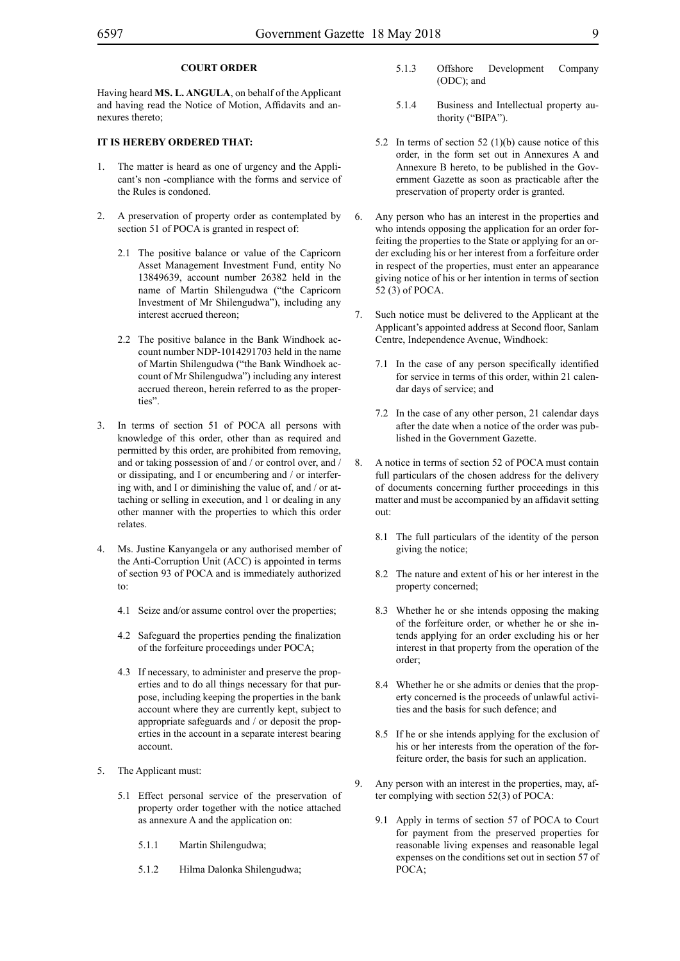### **COURT ORDER**

Having heard **MS. L. ANGULA**, on behalf of the Applicant and having read the Notice of Motion, Affidavits and annexures thereto;

#### **IT IS HEREBY ORDERED THAT:**

- 1. The matter is heard as one of urgency and the Applicant's non -compliance with the forms and service of the Rules is condoned.
- 2. A preservation of property order as contemplated by section 51 of POCA is granted in respect of:
	- 2.1 The positive balance or value of the Capricorn Asset Management Investment Fund, entity No 13849639, account number 26382 held in the name of Martin Shilengudwa ("the Capricorn Investment of Mr Shilengudwa"), including any interest accrued thereon;
	- 2.2 The positive balance in the Bank Windhoek account number NDP-1014291703 held in the name of Martin Shilengudwa ("the Bank Windhoek account of Mr Shilengudwa") including any interest accrued thereon, herein referred to as the properties".
- 3. In terms of section 51 of POCA all persons with knowledge of this order, other than as required and permitted by this order, are prohibited from removing, and or taking possession of and / or control over, and / or dissipating, and I or encumbering and / or interfering with, and I or diminishing the value of, and / or attaching or selling in execution, and 1 or dealing in any other manner with the properties to which this order relates.
- Ms. Justine Kanyangela or any authorised member of the Anti-Corruption Unit (ACC) is appointed in terms of section 93 of POCA and is immediately authorized to:
	- 4.1 Seize and/or assume control over the properties;
	- 4.2 Safeguard the properties pending the finalization of the forfeiture proceedings under POCA;
	- 4.3 If necessary, to administer and preserve the properties and to do all things necessary for that purpose, including keeping the properties in the bank account where they are currently kept, subject to appropriate safeguards and / or deposit the properties in the account in a separate interest bearing account.
- 5. The Applicant must:
	- 5.1 Effect personal service of the preservation of property order together with the notice attached as annexure A and the application on:
		- 5.1.1 Martin Shilengudwa;
		- 5.1.2 Hilma Dalonka Shilengudwa;
- 5.1.3 Offshore Development Company (ODC); and
- 5.1.4 Business and Intellectual property authority ("BIPA").
- 5.2 In terms of section 52 (1)(b) cause notice of this order, in the form set out in Annexures A and Annexure B hereto, to be published in the Government Gazette as soon as practicable after the preservation of property order is granted.
- 6. Any person who has an interest in the properties and who intends opposing the application for an order forfeiting the properties to the State or applying for an order excluding his or her interest from a forfeiture order in respect of the properties, must enter an appearance giving notice of his or her intention in terms of section 52 (3) of POCA.
- 7. Such notice must be delivered to the Applicant at the Applicant's appointed address at Second floor, Sanlam Centre, Independence Avenue, Windhoek:
	- 7.1 In the case of any person specifically identified for service in terms of this order, within 21 calendar days of service; and
	- 7.2 In the case of any other person, 21 calendar days after the date when a notice of the order was published in the Government Gazette.
- 8. A notice in terms of section 52 of POCA must contain full particulars of the chosen address for the delivery of documents concerning further proceedings in this matter and must be accompanied by an affidavit setting out:
	- 8.1 The full particulars of the identity of the person giving the notice;
	- 8.2 The nature and extent of his or her interest in the property concerned;
	- 8.3 Whether he or she intends opposing the making of the forfeiture order, or whether he or she intends applying for an order excluding his or her interest in that property from the operation of the order;
	- 8.4 Whether he or she admits or denies that the property concerned is the proceeds of unlawful activities and the basis for such defence; and
	- 8.5 If he or she intends applying for the exclusion of his or her interests from the operation of the forfeiture order, the basis for such an application.
- 9. Any person with an interest in the properties, may, after complying with section 52(3) of POCA:
	- 9.1 Apply in terms of section 57 of POCA to Court for payment from the preserved properties for reasonable living expenses and reasonable legal expenses on the conditions set out in section 57 of POCA;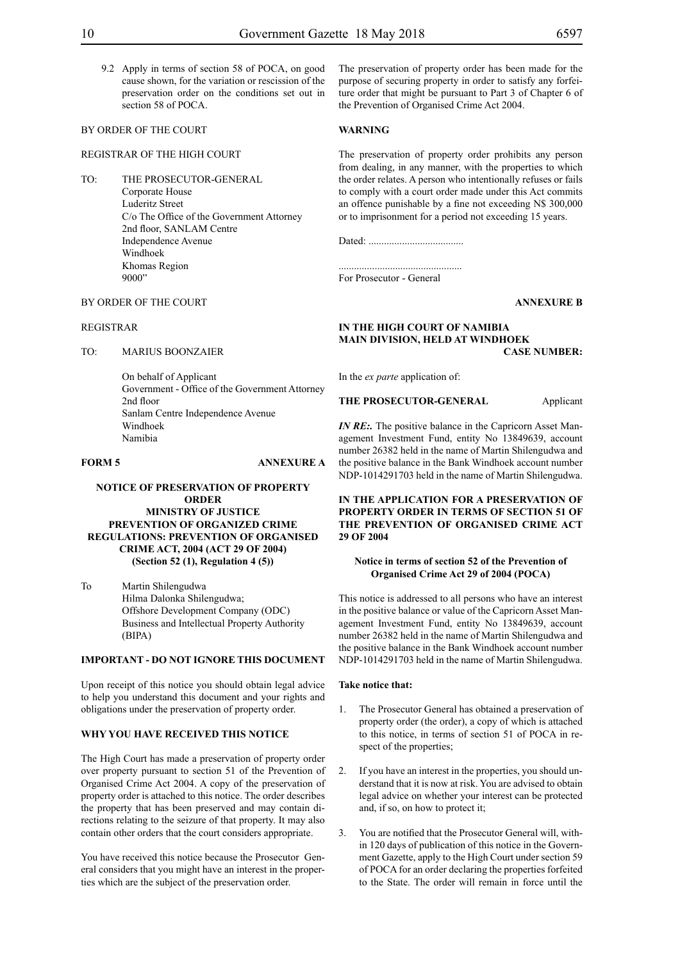9.2 Apply in terms of section 58 of POCA, on good cause shown, for the variation or rescission of the preservation order on the conditions set out in section 58 of POCA.

### BY ORDER OF THE COURT

#### REGISTRAR OF THE HIGH COURT

TO: THE PROSECUTOR-GENERAL Corporate House Luderitz Street C/o The Office of the Government Attorney 2nd floor, SANLAM Centre Independence Avenue Windhoek Khomas Region 9000"

The preservation of property order has been made for the purpose of securing property in order to satisfy any forfeiture order that might be pursuant to Part 3 of Chapter 6 of the Prevention of Organised Crime Act 2004.

#### **WARNING**

The preservation of property order prohibits any person from dealing, in any manner, with the properties to which the order relates. A person who intentionally refuses or fails to comply with a court order made under this Act commits an offence punishable by a fine not exceeding N\$ 300,000 or to imprisonment for a period not exceeding 15 years.

Dated: .....................................

................................................ For Prosecutor - General

**ANNEXURE B**

#### **IN THE HIGH COURT OF NAMIBIA MAIN DIVISION, HELD AT WINDHOEK CASE NUMBER:**

In the *ex parte* application of:

**THE PROSECUTOR-GENERAL** Applicant

*IN RE*: The positive balance in the Capricorn Asset Management Investment Fund, entity No 13849639, account number 26382 held in the name of Martin Shilengudwa and the positive balance in the Bank Windhoek account number NDP-1014291703 held in the name of Martin Shilengudwa.

#### **IN THE APPLICATION FOR A PRESERVATION OF PROPERTY ORDER IN TERMS OF SECTION 51 OF THE PREVENTION OF ORGANISED CRIME ACT 29 OF 2004**

#### **Notice in terms of section 52 of the Prevention of Organised Crime Act 29 of 2004 (POCA)**

This notice is addressed to all persons who have an interest in the positive balance or value of the Capricorn Asset Management Investment Fund, entity No 13849639, account number 26382 held in the name of Martin Shilengudwa and the positive balance in the Bank Windhoek account number NDP-1014291703 held in the name of Martin Shilengudwa.

#### **Take notice that:**

- 1. The Prosecutor General has obtained a preservation of property order (the order), a copy of which is attached to this notice, in terms of section 51 of POCA in respect of the properties;
- 2. If you have an interest in the properties, you should understand that it is now at risk. You are advised to obtain legal advice on whether your interest can be protected and, if so, on how to protect it;
- 3. You are notified that the Prosecutor General will, within 120 days of publication of this notice in the Government Gazette, apply to the High Court under section 59 of POCA for an order declaring the properties forfeited to the State. The order will remain in force until the

### BY ORDER OF THE COURT

#### REGISTRAR

TO: MARIUS BOONZAIER

On behalf of Applicant Government - Office of the Government Attorney 2nd floor Sanlam Centre Independence Avenue Windhoek Namibia

**FORM 5 ANNEXURE A**

#### **NOTICE OF PRESERVATION OF PROPERTY ORDER MINISTRY OF JUSTICE PREVENTION OF ORGANIZED CRIME REGULATIONS: PREVENTION OF ORGANISED CRIME ACT, 2004 (ACT 29 OF 2004) (Section 52 (1), Regulation 4 (5))**

To Martin Shilengudwa Hilma Dalonka Shilengudwa; Offshore Development Company (ODC) Business and Intellectual Property Authority (BIPA)

#### **IMPORTANT - DO NOT IGNORE THIS DOCUMENT**

Upon receipt of this notice you should obtain legal advice to help you understand this document and your rights and obligations under the preservation of property order.

#### **WHY YOU HAVE RECEIVED THIS NOTICE**

The High Court has made a preservation of property order over property pursuant to section 51 of the Prevention of Organised Crime Act 2004. A copy of the preservation of property order is attached to this notice. The order describes the property that has been preserved and may contain directions relating to the seizure of that property. It may also contain other orders that the court considers appropriate.

You have received this notice because the Prosecutor General considers that you might have an interest in the properties which are the subject of the preservation order.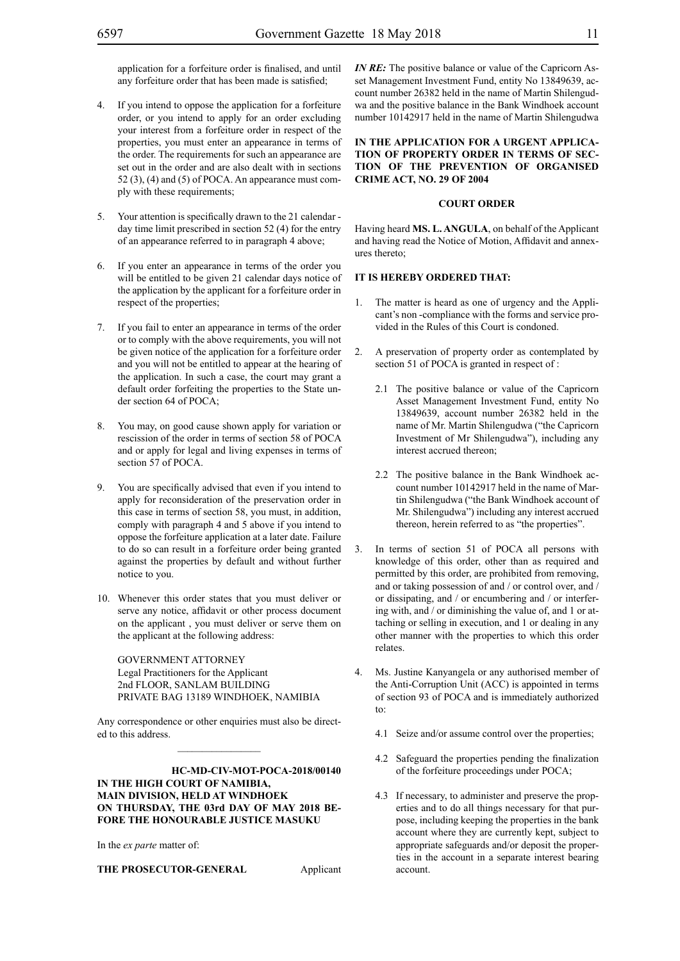application for a forfeiture order is finalised, and until any forfeiture order that has been made is satisfied;

- 4. If you intend to oppose the application for a forfeiture order, or you intend to apply for an order excluding your interest from a forfeiture order in respect of the properties, you must enter an appearance in terms of the order. The requirements for such an appearance are set out in the order and are also dealt with in sections 52 (3), (4) and (5) of POCA. An appearance must comply with these requirements;
- 5. Your attention is specifically drawn to the 21 calendar day time limit prescribed in section 52 (4) for the entry of an appearance referred to in paragraph 4 above;
- 6. If you enter an appearance in terms of the order you will be entitled to be given 21 calendar days notice of the application by the applicant for a forfeiture order in respect of the properties;
- 7. If you fail to enter an appearance in terms of the order or to comply with the above requirements, you will not be given notice of the application for a forfeiture order and you will not be entitled to appear at the hearing of the application. In such a case, the court may grant a default order forfeiting the properties to the State under section 64 of POCA;
- 8. You may, on good cause shown apply for variation or rescission of the order in terms of section 58 of POCA and or apply for legal and living expenses in terms of section 57 of POCA.
- 9. You are specifically advised that even if you intend to apply for reconsideration of the preservation order in this case in terms of section 58, you must, in addition, comply with paragraph 4 and 5 above if you intend to oppose the forfeiture application at a later date. Failure to do so can result in a forfeiture order being granted against the properties by default and without further notice to you.
- 10. Whenever this order states that you must deliver or serve any notice, affidavit or other process document on the applicant , you must deliver or serve them on the applicant at the following address:

GOVERNMENT ATTORNEY Legal Practitioners for the Applicant 2nd FLOOR, SANLAM BUILDING PRIVATE BAG 13189 WINDHOEK, NAMIBIA

Any correspondence or other enquiries must also be directed to this address.  $\mathcal{L}_\text{max}$ 

**HC-MD-CIV-MOT-POCA-2018/00140 IN THE HIGH COURT OF NAMIBIA, MAIN DIVISION, HELD AT WINDHOEK ON THURSDAY, THE 03rd DAY OF MAY 2018 BE-FORE THE HONOURABLE JUSTICE MASUKU**

In the *ex parte* matter of:

**THE PROSECUTOR-GENERAL** Applicant

*IN RE:* The positive balance or value of the Capricorn Asset Management Investment Fund, entity No 13849639, account number 26382 held in the name of Martin Shilengudwa and the positive balance in the Bank Windhoek account number 10142917 held in the name of Martin Shilengudwa

**IN THE APPLICATION FOR A URGENT APPLICA-TION OF PROPERTY ORDER IN TERMS OF SEC-TION OF THE PREVENTION OF ORGANISED CRIME ACT, NO. 29 OF 2004**

#### **COURT ORDER**

Having heard **MS. L. ANGULA**, on behalf of the Applicant and having read the Notice of Motion, Affidavit and annexures thereto;

#### **IT IS HEREBY ORDERED THAT:**

- 1. The matter is heard as one of urgency and the Applicant's non -compliance with the forms and service provided in the Rules of this Court is condoned.
- 2. A preservation of property order as contemplated by section 51 of POCA is granted in respect of :
	- 2.1 The positive balance or value of the Capricorn Asset Management Investment Fund, entity No 13849639, account number 26382 held in the name of Mr. Martin Shilengudwa ("the Capricorn Investment of Mr Shilengudwa"), including any interest accrued thereon;
	- 2.2 The positive balance in the Bank Windhoek account number 10142917 held in the name of Martin Shilengudwa ("the Bank Windhoek account of Mr. Shilengudwa") including any interest accrued thereon, herein referred to as "the properties".
- 3. In terms of section 51 of POCA all persons with knowledge of this order, other than as required and permitted by this order, are prohibited from removing, and or taking possession of and / or control over, and / or dissipating, and / or encumbering and / or interfering with, and / or diminishing the value of, and 1 or attaching or selling in execution, and 1 or dealing in any other manner with the properties to which this order relates.
- 4. Ms. Justine Kanyangela or any authorised member of the Anti-Corruption Unit (ACC) is appointed in terms of section 93 of POCA and is immediately authorized to:
	- 4.1 Seize and/or assume control over the properties;
	- 4.2 Safeguard the properties pending the finalization of the forfeiture proceedings under POCA;
	- 4.3 If necessary, to administer and preserve the properties and to do all things necessary for that purpose, including keeping the properties in the bank account where they are currently kept, subject to appropriate safeguards and/or deposit the properties in the account in a separate interest bearing account.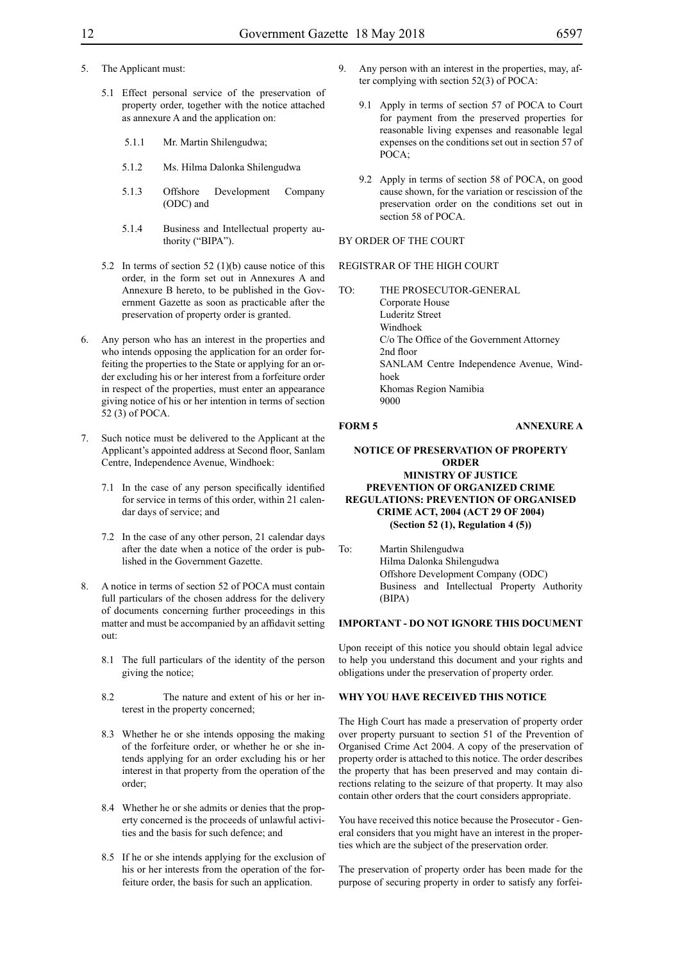- 5. The Applicant must:
	- 5.1 Effect personal service of the preservation of property order, together with the notice attached as annexure A and the application on:
		- 5.1.1 Mr. Martin Shilengudwa;
		- 5.1.2 Ms. Hilma Dalonka Shilengudwa
		- 5.1.3 Offshore Development Company (ODC) and
		- 5.1.4 Business and Intellectual property authority ("BIPA").
	- 5.2 In terms of section 52 (1)(b) cause notice of this order, in the form set out in Annexures A and Annexure B hereto, to be published in the Government Gazette as soon as practicable after the preservation of property order is granted.
- 6. Any person who has an interest in the properties and who intends opposing the application for an order forfeiting the properties to the State or applying for an order excluding his or her interest from a forfeiture order in respect of the properties, must enter an appearance giving notice of his or her intention in terms of section 52 (3) of POCA.
- 7. Such notice must be delivered to the Applicant at the Applicant's appointed address at Second floor, Sanlam Centre, Independence Avenue, Windhoek:
	- 7.1 In the case of any person specifically identified for service in terms of this order, within 21 calendar days of service; and
	- 7.2 In the case of any other person, 21 calendar days after the date when a notice of the order is published in the Government Gazette.
- A notice in terms of section 52 of POCA must contain full particulars of the chosen address for the delivery of documents concerning further proceedings in this matter and must be accompanied by an affidavit setting out:
	- 8.1 The full particulars of the identity of the person giving the notice;
	- 8.2 The nature and extent of his or her interest in the property concerned;
	- 8.3 Whether he or she intends opposing the making of the forfeiture order, or whether he or she intends applying for an order excluding his or her interest in that property from the operation of the order;
	- 8.4 Whether he or she admits or denies that the property concerned is the proceeds of unlawful activities and the basis for such defence; and
	- 8.5 If he or she intends applying for the exclusion of his or her interests from the operation of the forfeiture order, the basis for such an application.
- 9. Any person with an interest in the properties, may, after complying with section 52(3) of POCA:
	- 9.1 Apply in terms of section 57 of POCA to Court for payment from the preserved properties for reasonable living expenses and reasonable legal expenses on the conditions set out in section 57 of POCA;
	- 9.2 Apply in terms of section 58 of POCA, on good cause shown, for the variation or rescission of the preservation order on the conditions set out in section 58 of POCA.

#### BY ORDER OF THE COURT

#### REGISTRAR OF THE HIGH COURT

TO: THE PROSECUTOR-GENERAL Corporate House Luderitz Street Windhoek C/o The Office of the Government Attorney 2nd floor SANLAM Centre Independence Avenue, Windhoek Khomas Region Namibia 9000

#### **FORM 5 ANNEXURE A**

#### **NOTICE OF PRESERVATION OF PROPERTY ORDER MINISTRY OF JUSTICE PREVENTION OF ORGANIZED CRIME REGULATIONS: PREVENTION OF ORGANISED CRIME ACT, 2004 (ACT 29 OF 2004) (Section 52 (1), Regulation 4 (5))**

To: Martin Shilengudwa Hilma Dalonka Shilengudwa Offshore Development Company (ODC) Business and Intellectual Property Authority (BIPA)

#### **IMPORTANT - DO NOT IGNORE THIS DOCUMENT**

Upon receipt of this notice you should obtain legal advice to help you understand this document and your rights and obligations under the preservation of property order.

#### **WHY YOU HAVE RECEIVED THIS NOTICE**

The High Court has made a preservation of property order over property pursuant to section 51 of the Prevention of Organised Crime Act 2004. A copy of the preservation of property order is attached to this notice. The order describes the property that has been preserved and may contain directions relating to the seizure of that property. It may also contain other orders that the court considers appropriate.

You have received this notice because the Prosecutor - General considers that you might have an interest in the properties which are the subject of the preservation order.

The preservation of property order has been made for the purpose of securing property in order to satisfy any forfei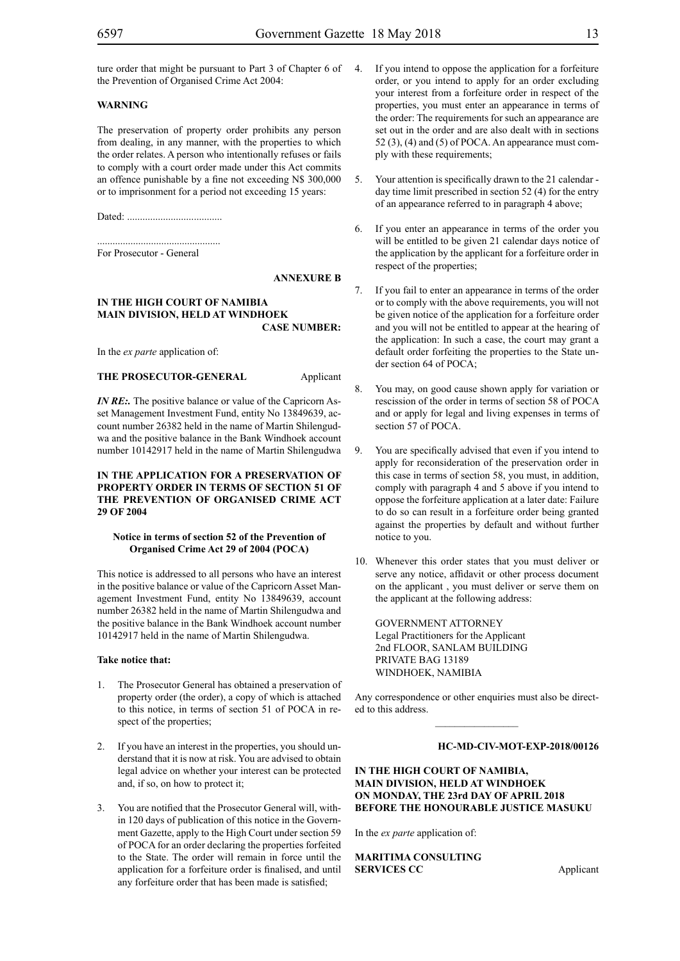ture order that might be pursuant to Part 3 of Chapter 6 of 4. the Prevention of Organised Crime Act 2004:

#### **WARNING**

The preservation of property order prohibits any person from dealing, in any manner, with the properties to which the order relates. A person who intentionally refuses or fails to comply with a court order made under this Act commits an offence punishable by a fine not exceeding N\$ 300,000 or to imprisonment for a period not exceeding 15 years:

Dated: .....................................

................................................ For Prosecutor - General

#### **ANNEXURE B**

#### **IN THE HIGH COURT OF NAMIBIA MAIN DIVISION, HELD AT WINDHOEK CASE NUMBER:**

In the *ex parte* application of:

**THE PROSECUTOR-GENERAL** Applicant

*IN RE*: The positive balance or value of the Capricorn Asset Management Investment Fund, entity No 13849639, account number 26382 held in the name of Martin Shilengudwa and the positive balance in the Bank Windhoek account number 10142917 held in the name of Martin Shilengudwa

#### **IN THE APPLICATION FOR A PRESERVATION OF PROPERTY ORDER IN TERMS OF SECTION 51 OF THE PREVENTION OF ORGANISED CRIME ACT 29 OF 2004**

#### **Notice in terms of section 52 of the Prevention of Organised Crime Act 29 of 2004 (POCA)**

This notice is addressed to all persons who have an interest in the positive balance or value of the Capricorn Asset Management Investment Fund, entity No 13849639, account number 26382 held in the name of Martin Shilengudwa and the positive balance in the Bank Windhoek account number 10142917 held in the name of Martin Shilengudwa.

#### **Take notice that:**

- 1. The Prosecutor General has obtained a preservation of property order (the order), a copy of which is attached to this notice, in terms of section 51 of POCA in respect of the properties;
- 2. If you have an interest in the properties, you should understand that it is now at risk. You are advised to obtain legal advice on whether your interest can be protected and, if so, on how to protect it;
- 3. You are notified that the Prosecutor General will, within 120 days of publication of this notice in the Government Gazette, apply to the High Court under section 59 of POCA for an order declaring the properties forfeited to the State. The order will remain in force until the application for a forfeiture order is finalised, and until any forfeiture order that has been made is satisfied;
- If you intend to oppose the application for a forfeiture order, or you intend to apply for an order excluding your interest from a forfeiture order in respect of the properties, you must enter an appearance in terms of the order: The requirements for such an appearance are set out in the order and are also dealt with in sections 52 (3), (4) and (5) of POCA. An appearance must comply with these requirements;
- 5. Your attention is specifically drawn to the 21 calendar day time limit prescribed in section 52 (4) for the entry of an appearance referred to in paragraph 4 above;
- 6. If you enter an appearance in terms of the order you will be entitled to be given 21 calendar days notice of the application by the applicant for a forfeiture order in respect of the properties;
- 7. If you fail to enter an appearance in terms of the order or to comply with the above requirements, you will not be given notice of the application for a forfeiture order and you will not be entitled to appear at the hearing of the application: In such a case, the court may grant a default order forfeiting the properties to the State under section 64 of POCA;
- 8. You may, on good cause shown apply for variation or rescission of the order in terms of section 58 of POCA and or apply for legal and living expenses in terms of section 57 of POCA.
- 9. You are specifically advised that even if you intend to apply for reconsideration of the preservation order in this case in terms of section 58, you must, in addition, comply with paragraph 4 and 5 above if you intend to oppose the forfeiture application at a later date: Failure to do so can result in a forfeiture order being granted against the properties by default and without further notice to you.
- 10. Whenever this order states that you must deliver or serve any notice, affidavit or other process document on the applicant , you must deliver or serve them on the applicant at the following address:

GOVERNMENT ATTORNEY Legal Practitioners for the Applicant 2nd FLOOR, SANLAM BUILDING PRIVATE BAG 13189 WINDHOEK, NAMIBIA

Any correspondence or other enquiries must also be directed to this address.  $\frac{1}{2}$ 

#### **HC-MD-CIV-MOT-EXP-2018/00126**

#### **IN THE HIGH COURT OF NAMIBIA, MAIN DIVISION, HELD AT WINDHOEK ON MONDAY, THE 23rd DAY OF APRIL 2018 BEFORE THE HONOURABLE JUSTICE MASUKU**

In the *ex parte* application of:

**MARITIMA CONSULTING SERVICES CC** Applicant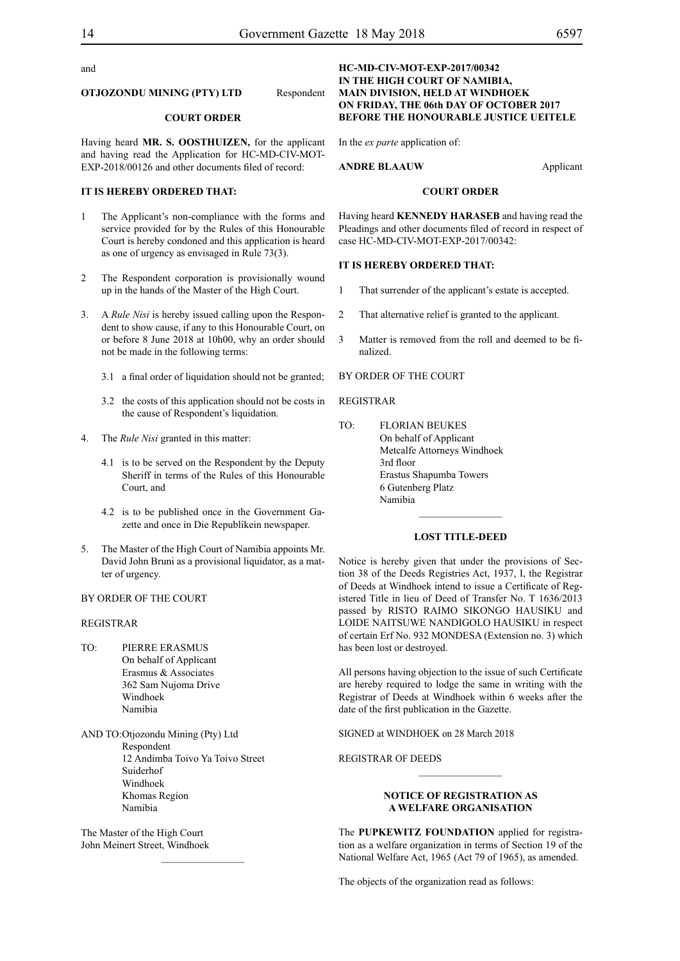and

#### **OTJOZONDU MINING (PTY) LTD** Respondent

#### **COURT ORDER**

Having heard **MR. S. OOSTHUIZEN,** for the applicant and having read the Application for HC-MD-CIV-MOT-EXP-2018/00126 and other documents filed of record:

#### **IT IS HEREBY ORDERED THAT:**

- 1 The Applicant's non-compliance with the forms and service provided for by the Rules of this Honourable Court is hereby condoned and this application is heard as one of urgency as envisaged in Rule 73(3).
- 2 The Respondent corporation is provisionally wound up in the hands of the Master of the High Court.
- 3. A *Rule Nisi* is hereby issued calling upon the Respondent to show cause, if any to this Honourable Court, on or before 8 June 2018 at 10h00, why an order should not be made in the following terms:
	- 3.1 a final order of liquidation should not be granted;
	- 3.2 the costs of this application should not be costs in the cause of Respondent's liquidation.
- 4. The *Rule Nisi* granted in this matter:
	- 4.1 is to be served on the Respondent by the Deputy Sheriff in terms of the Rules of this Honourable Court, and
	- 4.2 is to be published once in the Government Gazette and once in Die Republikein newspaper.
- 5. The Master of the High Court of Namibia appoints Mr. David John Bruni as a provisional liquidator, as a matter of urgency.

#### BY ORDER OF THE COURT

### REGISTRAR

- TO: PIERRE ERASMUS On behalf of Applicant Erasmus & Associates 362 Sam Nujoma Drive Windhoek Namibia
- AND TO:Otjozondu Mining (Pty) Ltd Respondent 12 Andimba Toivo Ya Toivo Street Suiderhof Windhoek Khomas Region Namibia

 $\frac{1}{2}$ 

The Master of the High Court John Meinert Street, Windhoek

#### **HC-MD-CIV-MOT-EXP-2017/00342 IN THE HIGH COURT OF NAMIBIA, MAIN DIVISION, HELD AT WINDHOEK ON FRIDAY, THE 06th DAY OF OCTOBER 2017 BEFORE THE HONOURABLE JUSTICE UEITELE**

In the *ex parte* application of:

**ANDRE BLAAUW** Applicant

#### **COURT ORDER**

Having heard **KENNEDY HARASEB** and having read the Pleadings and other documents filed of record in respect of case HC-MD-CIV-MOT-EXP-2017/00342:

#### **IT IS HEREBY ORDERED THAT:**

- 1 That surrender of the applicant's estate is accepted.
- 2 That alternative relief is granted to the applicant.
- 3 Matter is removed from the roll and deemed to be finalized.

#### BY ORDER OF THE COURT

#### REGISTRAR

TO: FLORIAN BEUKES On behalf of Applicant Metcalfe Attorneys Windhoek 3rd floor Erastus Shapumba Towers 6 Gutenberg Platz Namibia

#### **LOST TITLE-DEED**

 $\frac{1}{2}$ 

Notice is hereby given that under the provisions of Section 38 of the Deeds Registries Act, 1937, I, the Registrar of Deeds at Windhoek intend to issue a Certificate of Registered Title in lieu of Deed of Transfer No. T 1636/2013 passed by RISTO RAIMO SIKONGO HAUSIKU and LOIDE NAITSUWE NANDIGOLO HAUSIKU in respect of certain Erf No. 932 MONDESA (Extension no. 3) which has been lost or destroyed.

All persons having objection to the issue of such Certificate are hereby required to lodge the same in writing with the Registrar of Deeds at Windhoek within 6 weeks after the date of the first publication in the Gazette.

SIGNED at windhoek on 28 March 2018

REGISTRAR OF DEEDS

#### **NOTICE OF REGISTRATION AS A WELFARE ORGANISATION**

 $\frac{1}{2}$ 

The **PUPKEWITZ FOUNDATION** applied for registration as a welfare organization in terms of Section 19 of the National Welfare Act, 1965 (Act 79 of 1965), as amended.

The objects of the organization read as follows: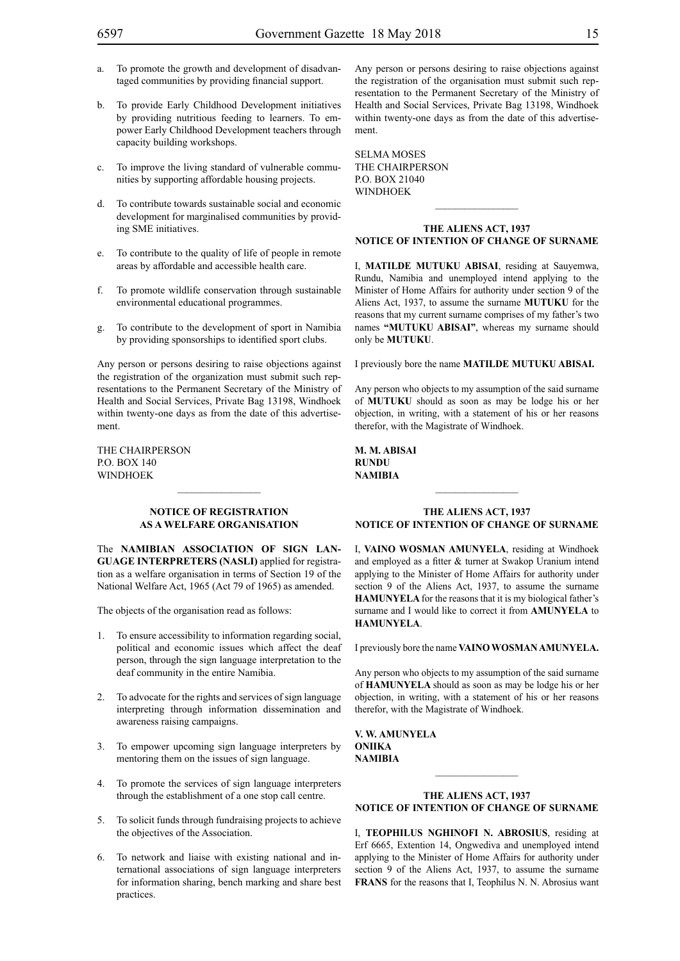- a. To promote the growth and development of disadvantaged communities by providing financial support.
- b. To provide Early Childhood Development initiatives by providing nutritious feeding to learners. To empower Early Childhood Development teachers through capacity building workshops.
- c. To improve the living standard of vulnerable communities by supporting affordable housing projects.
- d. To contribute towards sustainable social and economic development for marginalised communities by providing SME initiatives.
- e. To contribute to the quality of life of people in remote areas by affordable and accessible health care.
- f. To promote wildlife conservation through sustainable environmental educational programmes.
- g. To contribute to the development of sport in Namibia by providing sponsorships to identified sport clubs.

Any person or persons desiring to raise objections against the registration of the organization must submit such representations to the Permanent Secretary of the Ministry of Health and Social Services, Private Bag 13198, Windhoek within twenty-one days as from the date of this advertisement.

The Chairperson P.O. BOX 140 **WINDHOEK** 

#### **NOTICE OF REGISTRATION AS A WELFARE ORGANISATION**

The **Namibian Association of Sign Lan-GUAGE INTERPRETERS (NASLI)** applied for registration as a welfare organisation in terms of Section 19 of the National Welfare Act, 1965 (Act 79 of 1965) as amended.

The objects of the organisation read as follows:

- 1. To ensure accessibility to information regarding social, political and economic issues which affect the deaf person, through the sign language interpretation to the deaf community in the entire Namibia.
- 2. To advocate for the rights and services of sign language interpreting through information dissemination and awareness raising campaigns.
- 3. To empower upcoming sign language interpreters by mentoring them on the issues of sign language.
- 4. To promote the services of sign language interpreters through the establishment of a one stop call centre.
- 5. To solicit funds through fundraising projects to achieve the objectives of the Association.
- 6. To network and liaise with existing national and international associations of sign language interpreters for information sharing, bench marking and share best practices.

Any person or persons desiring to raise objections against the registration of the organisation must submit such representation to the Permanent Secretary of the Ministry of Health and Social Services, Private Bag 13198, Windhoek within twenty-one days as from the date of this advertisement.

SELMA MOSES The Chairperson P.O. Box 21040 **WINDHOEK** 

#### **THE ALIENS ACT, 1937 NOTICE OF INTENTION OF CHANGE OF SURNAME**

 $\frac{1}{2}$ 

I, **MATILDE MUTUKU ABISAI**, residing at Sauyemwa, Rundu, Namibia and unemployed intend applying to the Minister of Home Affairs for authority under section 9 of the Aliens Act, 1937, to assume the surname **MUTUKU** for the reasons that my current surname comprises of my father's two names **"MUTUKU ABISAI"**, whereas my surname should only be **MUTUKU**.

I previously bore the name **MATILDE MUTUKU ABISAI.**

Any person who objects to my assumption of the said surname of **MUTUKU** should as soon as may be lodge his or her objection, in writing, with a statement of his or her reasons therefor, with the Magistrate of Windhoek.

**M. M. ABISAI rundu NAMIBIA**

#### **THE ALIENS ACT, 1937 NOTICE OF INTENTION OF CHANGE OF SURNAME**

I, **vaino wosman amunyela**, residing at Windhoek and employed as a fitter & turner at Swakop Uranium intend applying to the Minister of Home Affairs for authority under section 9 of the Aliens Act, 1937, to assume the surname **HAMUNYELA** for the reasons that it is my biological father's surname and I would like to correct it from **AMUNYELA** to **HAMUNYELA**.

I previously bore the name **vainowosmanamunyela.**

Any person who objects to my assumption of the said surname of **HAMUNYELA** should as soon as may be lodge his or her objection, in writing, with a statement of his or her reasons therefor, with the Magistrate of Windhoek.

**v. w. amunyela oniika NAMIBIA**

#### **THE ALIENS ACT, 1937 NOTICE OF INTENTION OF CHANGE OF SURNAME**

 $\frac{1}{2}$ 

I, **teophilus nghinofi N. abrosius**, residing at Erf 6665, Extention 14, Ongwediva and unemployed intend applying to the Minister of Home Affairs for authority under section 9 of the Aliens Act, 1937, to assume the surname **frans** for the reasons that I, Teophilus N. N. Abrosius want